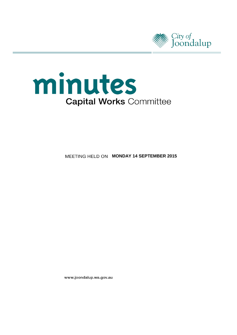



**MEETING HELD ON MONDAY 14 SEPTEMBER 2015** 

www.joondalup.wa.gov.au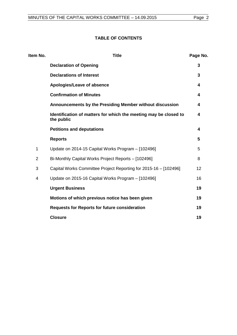## **TABLE OF CONTENTS**

| Item No.       | <b>Title</b>                                                                   | Page No. |
|----------------|--------------------------------------------------------------------------------|----------|
|                | <b>Declaration of Opening</b>                                                  | 3        |
|                | <b>Declarations of Interest</b>                                                | 3        |
|                | Apologies/Leave of absence                                                     | 4        |
|                | <b>Confirmation of Minutes</b>                                                 | 4        |
|                | Announcements by the Presiding Member without discussion                       | 4        |
|                | Identification of matters for which the meeting may be closed to<br>the public | 4        |
|                | <b>Petitions and deputations</b>                                               | 4        |
|                | <b>Reports</b>                                                                 | 5        |
| 1              | Update on 2014-15 Capital Works Program - [102496]                             | 5        |
| $\overline{2}$ | Bi-Monthly Capital Works Project Reports - [102496]                            | 8        |
| 3              | Capital Works Committee Project Reporting for 2015-16 - [102496]               | 12       |
| 4              | Update on 2015-16 Capital Works Program - [102496]                             | 16       |
|                | <b>Urgent Business</b>                                                         | 19       |
|                | Motions of which previous notice has been given                                | 19       |
|                | <b>Requests for Reports for future consideration</b>                           | 19       |
|                | <b>Closure</b>                                                                 | 19       |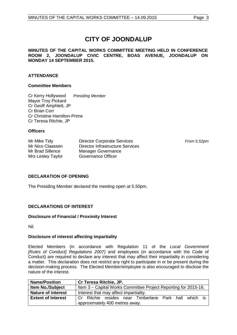# **CITY OF JOONDALUP**

#### **MINUTES OF THE CAPITAL WORKS COMMITTEE MEETING HELD IN CONFERENCE ROOM 2, JOONDALUP CIVIC CENTRE, BOAS AVENUE, JOONDALUP ON MONDAY 14 SEPTEMBER 2015.**

## **ATTENDANCE**

### **Committee Members**

Cr Kerry Hollywood *Presiding Member* Mayor Troy Pickard Cr Geoff Amphlett, JP Cr Brian Corr Cr Christine Hamilton-Prime Cr Teresa Ritchie, JP

### **Officers**

| Mr Mike Tidy      | <b>Director Corporate Services</b>      |
|-------------------|-----------------------------------------|
| Mr Nico Claassen  | <b>Director Infrastructure Services</b> |
| Mr Brad Sillence  | Manager Governance                      |
| Mrs Lesley Taylor | Governance Officer                      |

From 5.52pm

## <span id="page-2-0"></span>**DECLARATION OF OPENING**

The Presiding Member declared the meeting open at 5.50pm.

## <span id="page-2-1"></span>**DECLARATIONS OF INTEREST**

#### **Disclosure of Financial / Proximity Interest**

Nil.

#### **Disclosure of interest affecting impartiality**

Elected Members (in accordance with Regulation 11 of the *Local Government [Rules of Conduct] Regulations 2007)* and employees (in accordance with the Code of Conduct) are required to declare any interest that may affect their impartiality in considering a matter. This declaration does not restrict any right to participate in or be present during the decision-making process. The Elected Member/employee is also encouraged to disclose the nature of the interest.

| <b>Name/Position</b>      | Cr Teresa Ritchie, JP.                                          |  |  |  |  |
|---------------------------|-----------------------------------------------------------------|--|--|--|--|
| <b>Item No./Subject</b>   | Item 3 – Capital Works Committee Project Reporting for 2015-16. |  |  |  |  |
| <b>Nature of interest</b> | Interest that may affect impartiality.                          |  |  |  |  |
| <b>Extent of Interest</b> | which is<br>Cr Ritchie resides near Timberlane Park hall        |  |  |  |  |
|                           | approximately 400 metres away.                                  |  |  |  |  |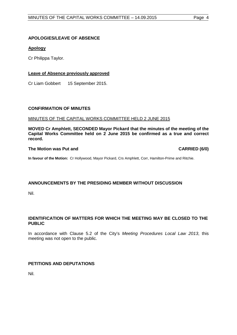#### <span id="page-3-0"></span>**APOLOGIES/LEAVE OF ABSENCE**

### **Apology**

Cr Philippa Taylor.

#### **Leave of Absence previously approved**

Cr Liam Gobbert 15 September 2015.

#### <span id="page-3-1"></span>**CONFIRMATION OF MINUTES**

#### MINUTES OF THE CAPITAL WORKS COMMITTEE HELD 2 JUNE 2015

**MOVED Cr Amphlett, SECONDED Mayor Pickard that the minutes of the meeting of the Capital Works Committee held on 2 June 2015 be confirmed as a true and correct record.**

#### **The Motion was Put and CARRIED (6/0)**

**In favour of the Motion:** Cr Hollywood, Mayor Pickard, Crs Amphlett, Corr, Hamilton-Prime and Ritchie.

#### <span id="page-3-2"></span>**ANNOUNCEMENTS BY THE PRESIDING MEMBER WITHOUT DISCUSSION**

Nil.

### <span id="page-3-3"></span>**IDENTIFICATION OF MATTERS FOR WHICH THE MEETING MAY BE CLOSED TO THE PUBLIC**

In accordance with Clause 5.2 of the City's *Meeting Procedures Local Law 2013*, this meeting was not open to the public.

## <span id="page-3-4"></span>**PETITIONS AND DEPUTATIONS**

Nil.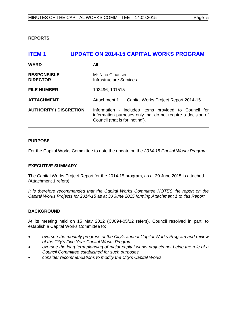<span id="page-4-0"></span>**REPORTS**

<span id="page-4-1"></span>

| <b>ITEM1</b>                          | <b>UPDATE ON 2014-15 CAPITAL WORKS PROGRAM</b>                                                                                                         |
|---------------------------------------|--------------------------------------------------------------------------------------------------------------------------------------------------------|
| <b>WARD</b>                           | All                                                                                                                                                    |
| <b>RESPONSIBLE</b><br><b>DIRECTOR</b> | Mr Nico Claassen<br><b>Infrastructure Services</b>                                                                                                     |
| <b>FILE NUMBER</b>                    | 102496, 101515                                                                                                                                         |
| <b>ATTACHMENT</b>                     | Attachment 1<br>Capital Works Project Report 2014-15                                                                                                   |
| <b>AUTHORITY / DISCRETION</b>         | Information - includes items provided to Council for<br>information purposes only that do not require a decision of<br>Council (that is for 'noting'). |

### **PURPOSE**

For the Capital Works Committee to note the update on the *2014-15 Capital Works Program*.

#### **EXECUTIVE SUMMARY**

The Capital Works Project Report for the 2014-15 program, as at 30 June 2015 is attached (Attachment 1 refers).

*It is therefore recommended that the Capital Works Committee NOTES the report on the Capital Works Projects for 2014-15 as at 30 June 2015 forming Attachment 1 to this Report.*

#### **BACKGROUND**

At its meeting held on 15 May 2012 (CJ094-05/12 refers), Council resolved in part, to establish a Capital Works Committee to:

- *oversee the monthly progress of the City's annual Capital Works Program and review of the City's Five Year Capital Works Program*
- *oversee the long term planning of major capital works projects not being the role of a Council Committee established for such purposes*
- *consider recommendations to modify the City's Capital Works.*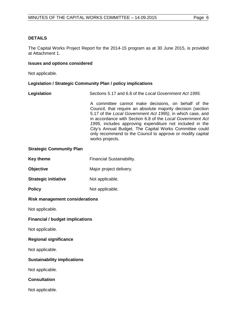#### **DETAILS**

The Capital Works Project Report for the 2014-15 program as at 30 June 2015, is provided at Attachment 1.

#### **Issues and options considered**

Not applicable.

#### **Legislation / Strategic Community Plan / policy implications**

| Legislation | Sections 5.17 and 6.8 of the Local Government Act 1995. |
|-------------|---------------------------------------------------------|
|             |                                                         |

A committee cannot make decisions, on behalf of the Council, that require an absolute majority decision (section 5.17 of the *Local Government Act 1995)*, in which case, and in accordance with Section 6.8 of the *Local Government Act 1995,* includes approving expenditure not included in the City's Annual Budget. The Capital Works Committee could only recommend to the Council to approve or modify capital works projects.

#### **Strategic Community Plan**

| Key theme        | <b>Financial Sustainability.</b> |  |  |
|------------------|----------------------------------|--|--|
| <b>Objective</b> | Major project delivery.          |  |  |

- **Strategic initiative Mot applicable.**
- **Policy** Not applicable.

#### **Risk management considerations**

Not applicable.

#### **Financial / budget implications**

Not applicable.

#### **Regional significance**

Not applicable.

#### **Sustainability implications**

Not applicable.

#### **Consultation**

Not applicable.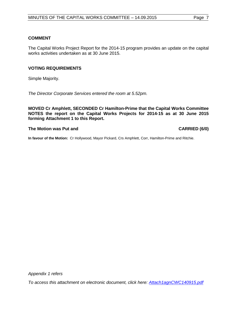### **COMMENT**

The Capital Works Project Report for the 2014-15 program provides an update on the capital works activities undertaken as at 30 June 2015.

#### **VOTING REQUIREMENTS**

Simple Majority.

*The Director Corporate Services entered the room at 5.52pm.*

**MOVED Cr Amphlett, SECONDED Cr Hamilton-Prime that the Capital Works Committee NOTES the report on the Capital Works Projects for 2014-15 as at 30 June 2015 forming Attachment 1 to this Report.**

#### **The Motion was Put and CARRIED (6/0)**

**In favour of the Motion:** Cr Hollywood, Mayor Pickard, Crs Amphlett, Corr, Hamilton-Prime and Ritchie.

*Appendix 1 refers*

*To access this attachment on electronic document, click here: [Attach1agnCWC140915.pdf](http://www.joondalup.wa.gov.au/files/committees/CWOC/2015/Attach1agnCWC140915.pdf)*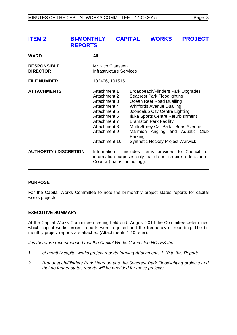<span id="page-7-0"></span>

| <b>ITEM 2</b>                         | <b>BI-MONTHLY</b><br><b>REPORTS</b> |                                                                                                                                                                      | <b>CAPITAL</b> |         | <b>WORKS</b>                                                                                                                                                                                                                                                                                                                                                          | <b>PROJECT</b> |  |
|---------------------------------------|-------------------------------------|----------------------------------------------------------------------------------------------------------------------------------------------------------------------|----------------|---------|-----------------------------------------------------------------------------------------------------------------------------------------------------------------------------------------------------------------------------------------------------------------------------------------------------------------------------------------------------------------------|----------------|--|
| <b>WARD</b>                           |                                     | All                                                                                                                                                                  |                |         |                                                                                                                                                                                                                                                                                                                                                                       |                |  |
| <b>RESPONSIBLE</b><br><b>DIRECTOR</b> |                                     | Mr Nico Claassen<br><b>Infrastructure Services</b>                                                                                                                   |                |         |                                                                                                                                                                                                                                                                                                                                                                       |                |  |
| <b>FILE NUMBER</b>                    |                                     | 102496, 101515                                                                                                                                                       |                |         |                                                                                                                                                                                                                                                                                                                                                                       |                |  |
| <b>ATTACHMENTS</b>                    |                                     | Attachment 1<br><b>Attachment 2</b><br>Attachment 3<br>Attachment 4<br>Attachment 5<br>Attachment 6<br>Attachment 7<br>Attachment 8<br>Attachment 9<br>Attachment 10 |                | Parking | Broadbeach/Flinders Park Upgrades<br><b>Seacrest Park Floodlighting</b><br>Ocean Reef Road Dualling<br><b>Whitfords Avenue Dualling</b><br>Joondalup City Centre Lighting<br>Iluka Sports Centre Refurbishment<br><b>Bramston Park Facility</b><br>Multi Storey Car Park - Boas Avenue<br>Marmion Angling and Aquatic Club<br><b>Synthetic Hockey Project Warwick</b> |                |  |
| <b>AUTHORITY / DISCRETION</b>         |                                     | Information - includes items provided to Council for<br>information purposes only that do not require a decision of<br>Council (that is for 'noting').               |                |         |                                                                                                                                                                                                                                                                                                                                                                       |                |  |

#### **PURPOSE**

For the Capital Works Committee to note the bi-monthly project status reports for capital works projects.

#### **EXECUTIVE SUMMARY**

At the Capital Works Committee meeting held on 5 August 2014 the Committee determined which capital works project reports were required and the frequency of reporting. The bimonthly project reports are attached (Attachments 1-10 refer).

*It is therefore recommended that the Capital Works Committee NOTES the:* 

- *1 bi-monthly capital works project reports forming Attachments 1-10 to this Report;*
- *2 Broadbeach/Flinders Park Upgrade and the Seacrest Park Floodlighting projects and that no further status reports will be provided for these projects.*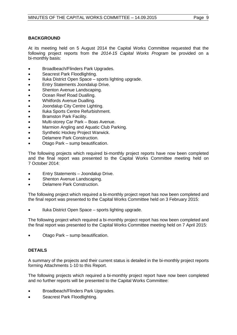### **BACKGROUND**

At its meeting held on 5 August 2014 the Capital Works Committee requested that the following project reports from the *2014-15 Capital Works Program* be provided on a bi-monthly basis:

- Broadbeach/Flinders Park Upgrades.
- Seacrest Park Floodlighting.
- Iluka District Open Space sports lighting upgrade.
- Entry Statements Joondalup Drive.
- Shenton Avenue Landscaping.
- Ocean Reef Road Dualling.
- Whitfords Avenue Dualling.
- Joondalup City Centre Lighting.
- Iluka Sports Centre Refurbishment.
- Bramston Park Facility.
- Multi-storey Car Park Boas Avenue.
- Marmion Angling and Aquatic Club Parking.
- Synthetic Hockey Project Warwick.
- Delamere Park Construction.
- Otago Park sump beautification.

The following projects which required bi-monthly project reports have now been completed and the final report was presented to the Capital Works Committee meeting held on 7 October 2014:

- Entry Statements Joondalup Drive.
- Shenton Avenue Landscaping.
- Delamere Park Construction.

The following project which required a bi-monthly project report has now been completed and the final report was presented to the Capital Works Committee held on 3 February 2015:

• Iluka District Open Space – sports lighting upgrade.

The following project which required a bi-monthly project report has now been completed and the final report was presented to the Capital Works Committee meeting held on 7 April 2015:

• Otago Park – sump beautification.

#### **DETAILS**

A summary of the projects and their current status is detailed in the bi-monthly project reports forming Attachments 1-10 to this Report.

The following projects which required a bi-monthly project report have now been completed and no further reports will be presented to the Capital Works Committee:

- Broadbeach/Flinders Park Upgrades.
- Seacrest Park Floodlighting.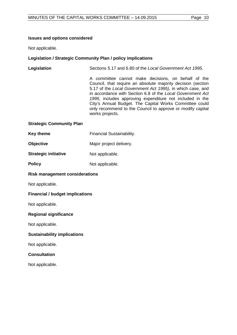#### **Issues and options considered**

Not applicable.

### **Legislation / Strategic Community Plan / policy implications**

## **Legislation** Sections 5.17 and 6.80 of the *Local Government Act 1995.*

A committee cannot make decisions, on behalf of the Council, that require an absolute majority decision (section 5.17 of the *Local Government Act 1995)*, in which case, and in accordance with Section 6.8 of the *Local Government Act 1995,* includes approving expenditure not included in the City's Annual Budget. The Capital Works Committee could only recommend to the Council to approve or modify capital works projects.

#### **Strategic Community Plan**

| <b>Key theme</b> | <b>Financial Sustainability.</b> |
|------------------|----------------------------------|
|------------------|----------------------------------|

- **Objective** Major project delivery.
- **Strategic initiative Mot applicable.**
- **Policy** Not applicable.

#### **Risk management considerations**

Not applicable.

#### **Financial / budget implications**

Not applicable.

#### **Regional significance**

Not applicable.

#### **Sustainability implications**

Not applicable.

#### **Consultation**

Not applicable.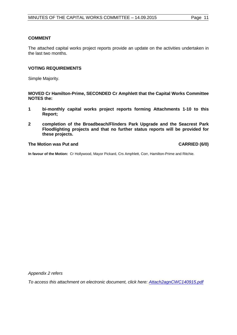#### **COMMENT**

The attached capital works project reports provide an update on the activities undertaken in the last two months.

#### **VOTING REQUIREMENTS**

Simple Majority.

**MOVED Cr Hamilton-Prime, SECONDED Cr Amphlett that the Capital Works Committee NOTES the:**

- **1 bi-monthly capital works project reports forming Attachments 1-10 to this Report;**
- **2 completion of the Broadbeach/Flinders Park Upgrade and the Seacrest Park Floodlighting projects and that no further status reports will be provided for these projects.**

#### **The Motion was Put and CARRIED (6/0)**

**In favour of the Motion:** Cr Hollywood, Mayor Pickard, Crs Amphlett, Corr, Hamilton-Prime and Ritchie.

*Appendix 2 refers*

*To access this attachment on electronic document, click here: [Attach2agnCWC140915.pdf](http://www.joondalup.wa.gov.au/files/committees/CWOC/2015/Attach2agnCWC140915.pdf)*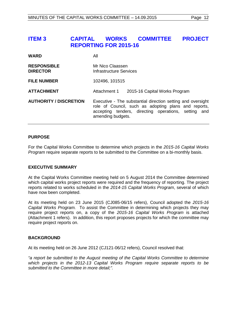## <span id="page-11-0"></span>**ITEM 3 CAPITAL WORKS COMMITTEE PROJECT REPORTING FOR 2015-16**

| <b>WARD</b>                           | All                                                                                                                                                                                              |  |
|---------------------------------------|--------------------------------------------------------------------------------------------------------------------------------------------------------------------------------------------------|--|
| <b>RESPONSIBLE</b><br><b>DIRECTOR</b> | Mr Nico Claassen<br>Infrastructure Services                                                                                                                                                      |  |
| <b>FILE NUMBER</b>                    | 102496, 101515                                                                                                                                                                                   |  |
| <b>ATTACHMENT</b>                     | Attachment 1<br>2015-16 Capital Works Program                                                                                                                                                    |  |
| <b>AUTHORITY / DISCRETION</b>         | Executive - The substantial direction setting and oversight<br>role of Council, such as adopting plans and reports,<br>accepting tenders, directing operations, setting and<br>amending budgets. |  |

#### **PURPOSE**

For the Capital Works Committee to determine which projects in the *2015-16 Capital Works Program* require separate reports to be submitted to the Committee on a bi-monthly basis.

#### **EXECUTIVE SUMMARY**

At the Capital Works Committee meeting held on 5 August 2014 the Committee determined which capital works project reports were required and the frequency of reporting. The project reports related to works scheduled in the *2014-15 Capital Works Program*, several of which have now been completed.

At its meeting held on 23 June 2015 (CJ085-06/15 refers), Council adopted the *2015-16 Capital Works Program.* To assist the Committee in determining which projects they may require project reports on, a copy of the *2015-16 Capital Works Program* is attached (Attachment 1 refers). In addition, this report proposes projects for which the committee may require project reports on.

#### **BACKGROUND**

At its meeting held on 26 June 2012 (CJ121-06/12 refers), Council resolved that:

*"a report be submitted to the August meeting of the Capital Works Committee to determine which projects in the 2012-13 Capital Works Program require separate reports to be submitted to the Committee in more detail;".*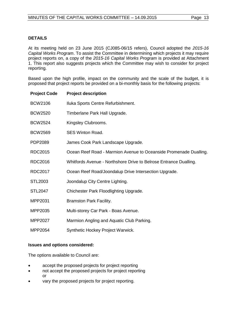### **DETAILS**

At its meeting held on 23 June 2015 (CJ085-06/15 refers), Council adopted the *2015-16 Capital Works Program*. To assist the Committee in determining which projects it may require project reports on, a copy of the *2015-16 Capital Works Program* is provided at Attachment 1. This report also suggests projects which the Committee may wish to consider for project reporting.

Based upon the high profile, impact on the community and the scale of the budget, it is proposed that project reports be provided on a bi-monthly basis for the following projects:

| <b>Project Code</b> | <b>Project description</b>                                        |
|---------------------|-------------------------------------------------------------------|
| <b>BCW2106</b>      | Iluka Sports Centre Refurbishment.                                |
| <b>BCW2520</b>      | Timberlane Park Hall Upgrade.                                     |
| <b>BCW2524</b>      | Kingsley Clubrooms.                                               |
| <b>BCW2569</b>      | <b>SES Winton Road.</b>                                           |
| PDP2089             | James Cook Park Landscape Upgrade.                                |
| RDC2015             | Ocean Reef Road - Marmion Avenue to Oceanside Promenade Dualling. |
| RDC2016             | Whitfords Avenue - Northshore Drive to Belrose Entrance Dualling. |
| <b>RDC2017</b>      | Ocean Reef Road/Joondalup Drive Intersection Upgrade.             |
| STL2003             | Joondalup City Centre Lighting.                                   |
| <b>STL2047</b>      | Chichester Park Floodlighting Upgrade.                            |
| MPP2031             | <b>Bramston Park Facility.</b>                                    |
| MPP2035             | Multi-storey Car Park - Boas Avenue.                              |
| MPP2027             | Marmion Angling and Aquatic Club Parking.                         |
| MPP2054             | Synthetic Hockey Project Warwick.                                 |

#### **Issues and options considered:**

The options available to Council are:

- accept the proposed projects for project reporting
- not accept the proposed projects for project reporting or
- vary the proposed projects for project reporting.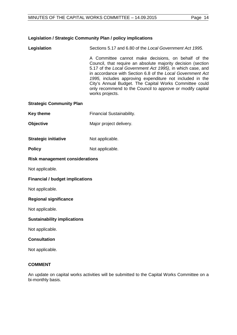## **Legislation / Strategic Community Plan / policy implications**

works projects. **Strategic Community Plan Key theme** Financial Sustainability. **Objective** Major project delivery. **Strategic initiative** Not applicable. **Policy** Not applicable. **Risk management considerations** Not applicable. **Financial / budget implications** Not applicable. **Regional significance** Not applicable. **Sustainability implications** Not applicable. **Consultation**

Not applicable.

### **COMMENT**

An update on capital works activities will be submitted to the Capital Works Committee on a bi-monthly basis.

**Legislation** Sections 5.17 and 6.80 of the *Local Government Act 1995.*

A Committee cannot make decisions, on behalf of the Council, that require an absolute majority decision (section 5.17 of the *Local Government Act 1995)*, in which case, and in accordance with Section 6.8 of the *Local Government Act 1995,* includes approving expenditure not included in the City's Annual Budget. The Capital Works Committee could only recommend to the Council to approve or modify capital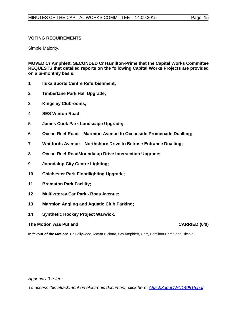#### **VOTING REQUIREMENTS**

Simple Majority.

**MOVED Cr Amphlett, SECONDED Cr Hamilton-Prime that the Capital Works Committee REQUESTS that detailed reports on the following Capital Works Projects are provided on a bi-monthly basis:**

- **1 Iluka Sports Centre Refurbishment;**
- **2 Timberlane Park Hall Upgrade;**
- **3 Kingsley Clubrooms;**
- **4 SES Winton Road;**
- **5 James Cook Park Landscape Upgrade;**
- **6 Ocean Reef Road – Marmion Avenue to Oceanside Promenade Dualling;**
- **7 Whitfords Avenue – Northshore Drive to Belrose Entrance Dualling;**
- **8 Ocean Reef Road/Joondalup Drive Intersection Upgrade;**
- **9 Joondalup City Centre Lighting;**
- **10 Chichester Park Floodlighting Upgrade;**
- **11 Bramston Park Facility;**
- **12 Multi-storey Car Park - Boas Avenue;**
- **13 Marmion Angling and Aquatic Club Parking;**
- **14 Synthetic Hockey Project Warwick.**

#### **The Motion was Put and CARRIED (6/0)**

**In favour of the Motion:** Cr Hollywood, Mayor Pickard, Crs Amphlett, Corr, Hamilton-Prime and Ritchie.

*Appendix 3 refers*

*To access this attachment on electronic document, click here: [Attach3agnCWC140915.pdf](http://www.joondalup.wa.gov.au/files/committees/CWOC/2015/Attach3agnCWC140915.pdf)*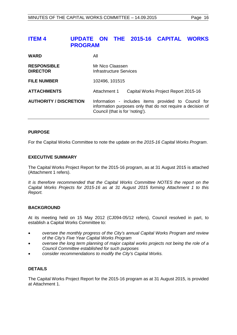## <span id="page-15-0"></span>**ITEM 4 UPDATE ON THE 2015-16 CAPITAL WORKS PROGRAM**

| <b>WARD</b>                           | All                                                                                                                                                    |  |
|---------------------------------------|--------------------------------------------------------------------------------------------------------------------------------------------------------|--|
| <b>RESPONSIBLE</b><br><b>DIRECTOR</b> | Mr Nico Claassen<br>Infrastructure Services                                                                                                            |  |
| <b>FILE NUMBER</b>                    | 102496, 101515                                                                                                                                         |  |
| <b>ATTACHMENTS</b>                    | Attachment 1<br>Capital Works Project Report 2015-16                                                                                                   |  |
| <b>AUTHORITY / DISCRETION</b>         | Information - includes items provided to Council for<br>information purposes only that do not require a decision of<br>Council (that is for 'noting'). |  |

#### **PURPOSE**

For the Capital Works Committee to note the update on the *2015-16 Capital Works Program*.

#### **EXECUTIVE SUMMARY**

The Capital Works Project Report for the 2015-16 program, as at 31 August 2015 is attached (Attachment 1 refers).

*It is therefore recommended that the Capital Works Committee NOTES the report on the Capital Works Projects for 2015-16 as at 31 August 2015 forming Attachment 1 to this Report.*

#### **BACKGROUND**

At its meeting held on 15 May 2012 (CJ094-05/12 refers), Council resolved in part, to establish a Capital Works Committee to:

- *oversee the monthly progress of the City's annual Capital Works Program and review of the City's Five Year Capital Works Program*
- *oversee the long term planning of major capital works projects not being the role of a Council Committee established for such purposes*
- *consider recommendations to modify the City's Capital Works.*

#### **DETAILS**

The Capital Works Project Report for the 2015-16 program as at 31 August 2015, is provided at Attachment 1.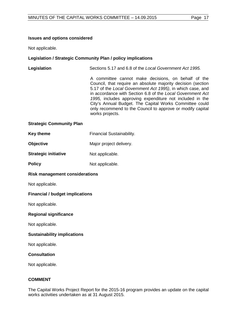#### **Issues and options considered**

Not applicable.

### **Legislation / Strategic Community Plan / policy implications**

## **Legislation** Sections 5.17 and 6.8 of the *Local Government Act 1995.*

A committee cannot make decisions, on behalf of the Council, that require an absolute majority decision (section 5.17 of the *Local Government Act 1995)*, in which case, and in accordance with Section 6.8 of the *Local Government Act 1995,* includes approving expenditure not included in the City's Annual Budget. The Capital Works Committee could only recommend to the Council to approve or modify capital works projects.

#### **Strategic Community Plan**

| <b>Key theme</b> | <b>Financial Sustainability.</b> |
|------------------|----------------------------------|
|------------------|----------------------------------|

- **Objective** Major project delivery.
- **Strategic initiative** Not applicable.
- **Policy** Not applicable.

#### **Risk management considerations**

Not applicable.

#### **Financial / budget implications**

Not applicable.

#### **Regional significance**

Not applicable.

#### **Sustainability implications**

Not applicable.

#### **Consultation**

Not applicable.

#### **COMMENT**

The Capital Works Project Report for the 2015-16 program provides an update on the capital works activities undertaken as at 31 August 2015.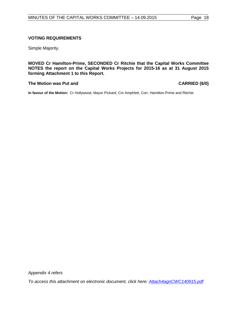#### **VOTING REQUIREMENTS**

Simple Majority.

**MOVED Cr Hamilton-Prime, SECONDED Cr Ritchie that the Capital Works Committee NOTES the report on the Capital Works Projects for 2015-16 as at 31 August 2015 forming Attachment 1 to this Report.**

#### **The Motion was Put and CARRIED (6/0)**

**In favour of the Motion:** Cr Hollywood, Mayor Pickard, Crs Amphlett, Corr, Hamilton-Prime and Ritchie.

*Appendix 4 refers*

*To access this attachment on electronic document, click here: [Attach4agnCWC140915.pdf](http://www.joondalup.wa.gov.au/files/committees/CWOC/2015/Attach4agnCWC140915.pdf)*